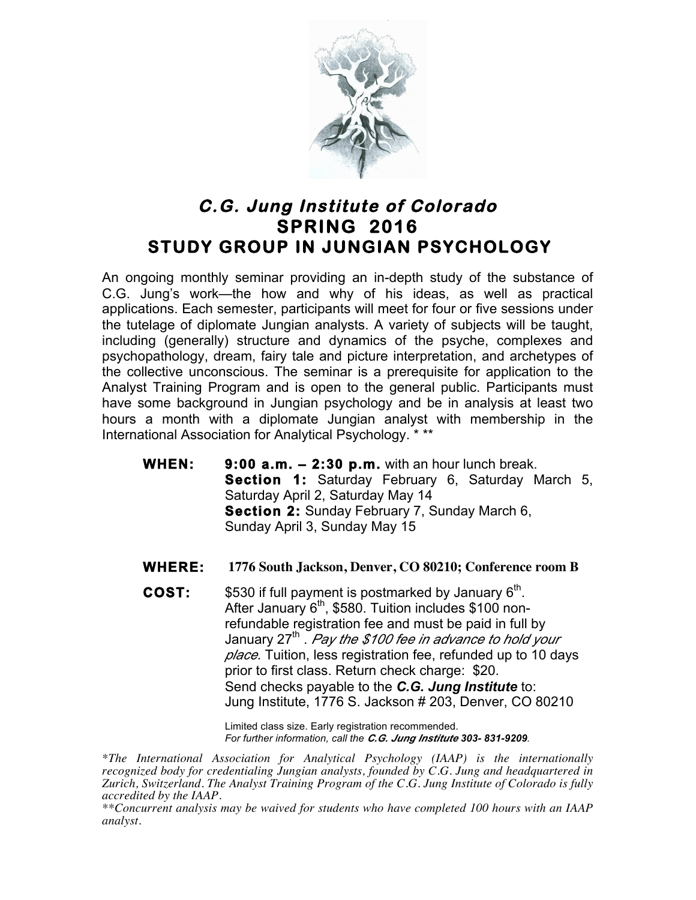

## **C.G. Jung Institute of Colorado SPRING 2016 STUDY GROUP IN JUNGIAN PSYCHOLOGY**

An ongoing monthly seminar providing an in-depth study of the substance of C.G. Jung's work—the how and why of his ideas, as well as practical applications. Each semester, participants will meet for four or five sessions under the tutelage of diplomate Jungian analysts. A variety of subjects will be taught, including (generally) structure and dynamics of the psyche, complexes and psychopathology, dream, fairy tale and picture interpretation, and archetypes of the collective unconscious. The seminar is a prerequisite for application to the Analyst Training Program and is open to the general public. Participants must have some background in Jungian psychology and be in analysis at least two hours a month with a diplomate Jungian analyst with membership in the International Association for Analytical Psychology. \* \*\*

- **WHEN: 9:00 a.m. 2:30 p.m.** with an hour lunch break. **Section 1:** Saturday February 6, Saturday March 5, Saturday April 2, Saturday May 14  **Section 2:** Sunday February 7, Sunday March 6, Sunday April 3, Sunday May 15
- **WHERE: 1776 South Jackson, Denver, CO 80210; Conference room B**
- **COST:** \$530 if full payment is postmarked by January 6<sup>th</sup>. After January  $6<sup>th</sup>$ , \$580. Tuition includes \$100 nonrefundable registration fee and must be paid in full by January 27th . *Pay the \$100 fee in advance to hold your place.* Tuition, less registration fee, refunded up to 10 days prior to first class. Return check charge: \$20. Send checks payable to the *C.G. Jung Institute* to: Jung Institute, 1776 S. Jackson # 203, Denver, CO 80210

Limited class size. Early registration recommended. *For further information, call the C.G. Jung Institute 303- 831-9209.*

*\*The International Association for Analytical Psychology (IAAP) is the internationally recognized body for credentialing Jungian analysts, founded by C.G. Jung and headquartered in Zurich, Switzerland. The Analyst Training Program of the C.G. Jung Institute of Colorado is fully accredited by the IAAP.* 

*\*\*Concurrent analysis may be waived for students who have completed 100 hours with an IAAP analyst.*